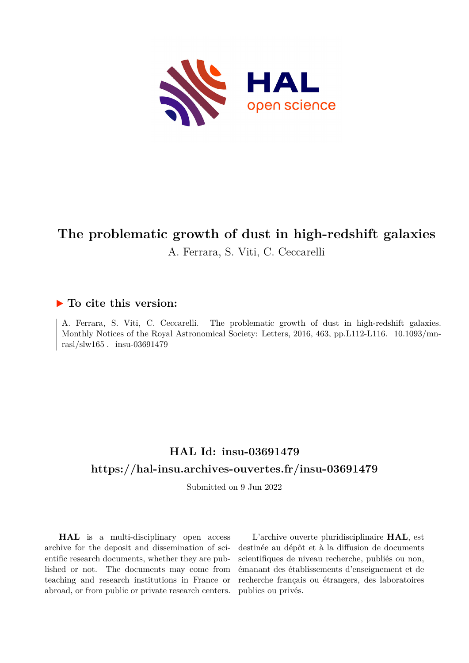

# **The problematic growth of dust in high-redshift galaxies** A. Ferrara, S. Viti, C. Ceccarelli

## **To cite this version:**

A. Ferrara, S. Viti, C. Ceccarelli. The problematic growth of dust in high-redshift galaxies. Monthly Notices of the Royal Astronomical Society: Letters, 2016, 463, pp.L112-L116. 10.1093/mnrasl/slw165. insu-03691479

# **HAL Id: insu-03691479 <https://hal-insu.archives-ouvertes.fr/insu-03691479>**

Submitted on 9 Jun 2022

**HAL** is a multi-disciplinary open access archive for the deposit and dissemination of scientific research documents, whether they are published or not. The documents may come from teaching and research institutions in France or abroad, or from public or private research centers.

L'archive ouverte pluridisciplinaire **HAL**, est destinée au dépôt et à la diffusion de documents scientifiques de niveau recherche, publiés ou non, émanant des établissements d'enseignement et de recherche français ou étrangers, des laboratoires publics ou privés.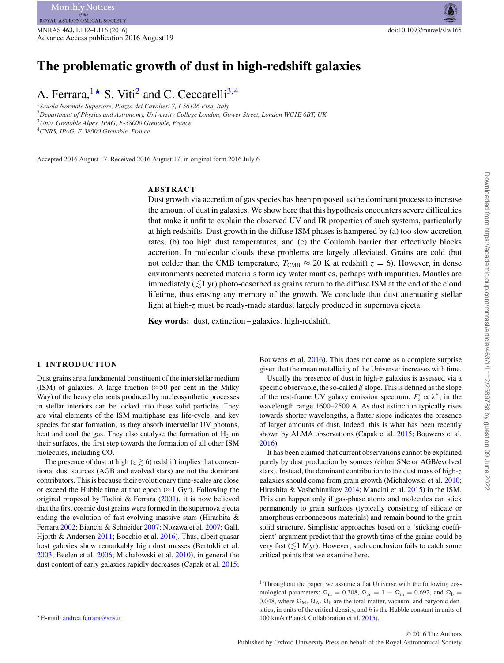## **The problematic growth of dust in high-redshift galaxies**

## A. Ferrara,  $1\star$  S. Viti<sup>2</sup> and C. Ceccarelli<sup>3,4</sup>

<sup>1</sup>*Scuola Normale Superiore, Piazza dei Cavalieri 7, I-56126 Pisa, Italy* <sup>2</sup>*Department of Physics and Astronomy, University College London, Gower Street, London WC1E 6BT, UK* <sup>3</sup>*Univ. Grenoble Alpes, IPAG, F-38000 Grenoble, France*

<sup>4</sup>*CNRS, IPAG, F-38000 Grenoble, France*

Accepted 2016 August 17. Received 2016 August 17; in original form 2016 July 6

## **ABSTRACT**

Dust growth via accretion of gas species has been proposed as the dominant process to increase the amount of dust in galaxies. We show here that this hypothesis encounters severe difficulties that make it unfit to explain the observed UV and IR properties of such systems, particularly at high redshifts. Dust growth in the diffuse ISM phases is hampered by (a) too slow accretion rates, (b) too high dust temperatures, and (c) the Coulomb barrier that effectively blocks accretion. In molecular clouds these problems are largely alleviated. Grains are cold (but not colder than the CMB temperature,  $T_{\text{CMB}} \approx 20$  K at redshift  $z = 6$ ). However, in dense environments accreted materials form icy water mantles, perhaps with impurities. Mantles are immediately  $(\lesssim\!\!1$  yr) photo-desorbed as grains return to the diffuse ISM at the end of the cloud lifetime, thus erasing any memory of the growth. We conclude that dust attenuating stellar light at high-z must be ready-made stardust largely produced in supernova ejecta.

**Key words:** dust, extinction – galaxies: high-redshift.

## **1 INTRODUCTION**

Dust grains are a fundamental constituent of the interstellar medium (ISM) of galaxies. A large fraction ( $\approx$ 50 per cent in the Milky Way) of the heavy elements produced by nucleosynthetic processes in stellar interiors can be locked into these solid particles. They are vital elements of the ISM multiphase gas life-cycle, and key species for star formation, as they absorb interstellar UV photons, heat and cool the gas. They also catalyse the formation of  $H_2$  on their surfaces, the first step towards the formation of all other ISM molecules, including CO.

The presence of dust at high ( $z \ge 6$ ) redshift implies that conventional dust sources (AGB and evolved stars) are not the dominant contributors. This is because their evolutionary time-scales are close or exceed the Hubble time at that epoch ( $\approx$ 1 Gyr). Following the original proposal by Todini & Ferrara (2001), it is now believed that the first cosmic dust grains were formed in the supernova ejecta ending the evolution of fast-evolving massive stars (Hirashita & Ferrara 2002; Bianchi & Schneider 2007; Nozawa et al. 2007; Gall, Hjorth & Andersen 2011; Bocchio et al. 2016). Thus, albeit quasar host galaxies show remarkably high dust masses (Bertoldi et al. 2003; Beelen et al. 2006; Michałowski et al. 2010), in general the dust content of early galaxies rapidly decreases (Capak et al. 2015;

Bouwens et al. 2016). This does not come as a complete surprise given that the mean metallicity of the Universe<sup>1</sup> increases with time.

Usually the presence of dust in high-z galaxies is assessed via a specific observable, the so-called  $\beta$  slope. This is defined as the slope of the rest-frame UV galaxy emission spectrum,  $F^i_\lambda \propto \lambda^\beta$ , in the wavelength range 1600–2500 A. As dust extinction typically rises towards shorter wavelengths, a flatter slope indicates the presence of larger amounts of dust. Indeed, this is what has been recently shown by ALMA observations (Capak et al. 2015; Bouwens et al. 2016).

It has been claimed that current observations cannot be explained purely by dust production by sources (either SNe or AGB/evolved stars). Instead, the dominant contribution to the dust mass of high-z galaxies should come from grain growth (Michałowski et al. 2010; Hirashita & Voshchinnikov 2014; Mancini et al. 2015) in the ISM. This can happen only if gas-phase atoms and molecules can stick permanently to grain surfaces (typically consisting of silicate or amorphous carbonaceous materials) and remain bound to the grain solid structure. Simplistic approaches based on a 'sticking coefficient' argument predict that the growth time of the grains could be very fast  $(\leq 1$  Myr). However, such conclusion fails to catch some critical points that we examine here.

<sup>1</sup> Throughout the paper, we assume a flat Universe with the following cosmological parameters:  $\Omega_m = 0.308$ ,  $\Omega_{\Lambda} = 1 - \Omega_m = 0.692$ , and  $\Omega_b =$ 0.048, where  $\Omega_M$ ,  $\Omega_{\Lambda}$ ,  $\Omega_{\rm b}$  are the total matter, vacuum, and baryonic densities, in units of the critical density, and *h* is the Hubble constant in units of 100 km/s (Planck Collaboration et al. 2015).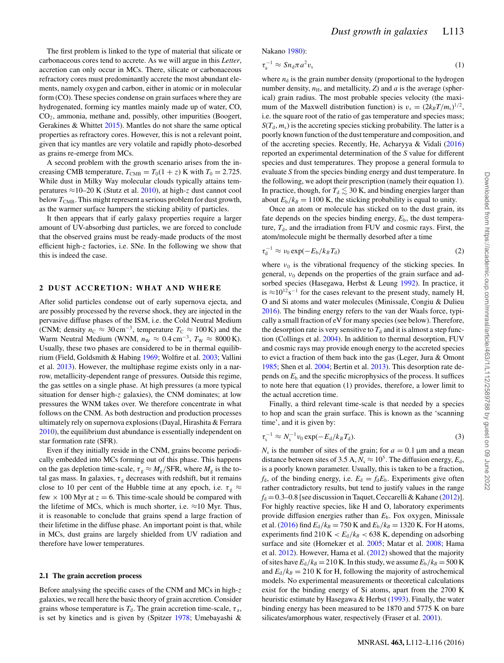The first problem is linked to the type of material that silicate or carbonaceous cores tend to accrete. As we will argue in this *Letter*, accretion can only occur in MCs. There, silicate or carbonaceous refractory cores must predominantly accrete the most abundant elements, namely oxygen and carbon, either in atomic or in molecular form (CO). These species condense on grain surfaces where they are hydrogenated, forming icy mantles mainly made up of water, CO, CO2, ammonia, methane and, possibly, other impurities (Boogert, Gerakines & Whittet 2015). Mantles do not share the same optical properties as refractory cores. However, this is not a relevant point, given that icy mantles are very volatile and rapidly photo-desorbed as grains re-emerge from MCs.

A second problem with the growth scenario arises from the increasing CMB temperature,  $T_{\text{CMB}} = T_0(1 + z)$  K with  $T_0 = 2.725$ . While dust in Milky Way molecular clouds typically attains temperatures ≈10–20 K (Stutz et al. 2010), at high-z dust cannot cool below  $T_{\text{CMB}}$ . This might represent a serious problem for dust growth, as the warmer surface hampers the sticking ability of particles.

It then appears that if early galaxy properties require a larger amount of UV-absorbing dust particles, we are forced to conclude that the observed grains must be ready-made products of the most efficient high-z factories, i.e. SNe. In the following we show that this is indeed the case.

### **2 DUST ACCRETION: WHAT AND WHERE**

After solid particles condense out of early supernova ejecta, and are possibly processed by the reverse shock, they are injected in the pervasive diffuse phases of the ISM, i.e. the Cold Neutral Medium (CNM; density  $n_C \approx 30 \text{ cm}^{-3}$ , temperature  $T_C \approx 100 \text{ K}$ ) and the Warm Neutral Medium (WNM,  $n_W \approx 0.4 \text{ cm}^{-3}$ ,  $T_W \approx 8000 \text{ K}$ ). Usually, these two phases are considered to be in thermal equilibrium (Field, Goldsmith & Habing 1969; Wolfire et al. 2003; Vallini et al. 2013). However, the multiphase regime exists only in a narrow, metallicity-dependent range of pressures. Outside this regime, the gas settles on a single phase. At high pressures (a more typical situation for denser high-z galaxies), the CNM dominates; at low pressures the WNM takes over. We therefore concentrate in what follows on the CNM. As both destruction and production processes ultimately rely on supernova explosions (Dayal, Hirashita & Ferrara 2010), the equilibrium dust abundance is essentially independent on star formation rate (SFR).

Even if they initially reside in the CNM, grains become periodically embedded into MCs forming out of this phase. This happens on the gas depletion time-scale,  $\tau_g \approx M_g/\text{SFR}$ , where  $M_g$  is the total gas mass. In galaxies,  $\tau_{\rm g}$  decreases with redshift, but it remains close to 10 per cent of the Hubble time at any epoch, i.e.  $\tau_{\rm g} \approx$ few  $\times$  100 Myr at  $z = 6$ . This time-scale should be compared with the lifetime of MCs, which is much shorter, i.e.  $\approx$ 10 Myr. Thus, it is reasonable to conclude that grains spend a large fraction of their lifetime in the diffuse phase. An important point is that, while in MCs, dust grains are largely shielded from UV radiation and therefore have lower temperatures.

#### **2.1 The grain accretion process**

Before analysing the specific cases of the CNM and MCs in high-z galaxies, we recall here the basic theory of grain accretion. Consider grains whose temperature is  $T<sub>d</sub>$ . The grain accretion time-scale,  $\tau<sub>a</sub>$ , is set by kinetics and is given by (Spitzer 1978; Umebayashi & Nakano 1980):

$$
\tau_a^{-1} \approx S n_d \pi a^2 v_s \tag{1}
$$

where  $n_d$  is the grain number density (proportional to the hydrogen number density,  $n_{\rm H}$ , and metallicity, *Z*) and *a* is the average (spherical) grain radius. The most probable species velocity (the maximum of the Maxwell distribution function) is  $v_s = (2k_B T/m_s)^{1/2}$ , i.e. the square root of the ratio of gas temperature and species mass;  $S(T_d, m_s)$  is the accreting species sticking probability. The latter is a poorly known function of the dust temperature and composition, and of the accreting species. Recently, He, Acharyya & Vidali (2016) reported an experimental determination of the *S* value for different species and dust temperatures. They propose a general formula to evaluate *S* from the species binding energy and dust temperature. In the following, we adopt their prescription (namely their equation 1). In practice, though, for  $T_d \lesssim 30$  K, and binding energies larger than about  $E_b/k_B = 1100$  K, the sticking probability is equal to unity.

Once an atom or molecule has sticked on to the dust grain, its fate depends on the species binding energy,  $E<sub>b</sub>$ , the dust temperature,  $T<sub>d</sub>$ , and the irradiation from FUV and cosmic rays. First, the atom/molecule might be thermally desorbed after a time

$$
\tau_d^{-1} \approx \nu_0 \exp(-E_b/k_B T_d) \tag{2}
$$

where  $v_0$  is the vibrational frequency of the sticking species. In general,  $v_0$  depends on the properties of the grain surface and adsorbed species (Hasegawa, Herbst & Leung 1992). In practice, it is ≈10<sup>12</sup>s<sup>-1</sup> for the cases relevant to the present study, namely H, O and Si atoms and water molecules (Minissale, Congiu & Dulieu 2016). The binding energy refers to the van der Waals force, typically a small fraction of eV for many species (see below). Therefore, the desorption rate is very sensitive to  $T<sub>d</sub>$  and it is almost a step function (Collings et al. 2004). In addition to thermal desorption, FUV and cosmic rays may provide enough energy to the accreted species to evict a fraction of them back into the gas (Leger, Jura & Omont 1985; Shen et al. 2004; Bertin et al. 2013). This desorption rate depends on  $E<sub>b</sub>$  and the specific microphysics of the process. It suffices to note here that equation (1) provides, therefore, a lower limit to the actual accretion time.

Finally, a third relevant time-scale is that needed by a species to hop and scan the grain surface. This is known as the 'scanning time', and it is given by:

$$
\tau_{\rm s}^{-1} \approx N_{\rm s}^{-1} \nu_0 \exp(-E_{\rm d}/k_B T_{\rm d}). \tag{3}
$$

 $N<sub>s</sub>$  is the number of sites of the grain; for  $a = 0.1 \,\mu$ m and a mean distance between sites of 3.5 A,  $N_s \approx 10^5$ . The diffusion energy,  $E_d$ , is a poorly known parameter. Usually, this is taken to be a fraction,  $f_d$ , of the binding energy, i.e.  $E_d = f_d E_b$ . Experiments give often rather contradictory results, but tend to justify values in the range  $f<sub>d</sub> = 0.3-0.8$  [see discussion in Taquet, Ceccarelli & Kahane (2012)]. For highly reactive species, like H and O, laboratory experiments provide diffusion energies rather than *E*b. Fox oxygen, Minissale et al. (2016) find  $E_d/k_B = 750$  K and  $E_b/k_B = 1320$  K. For H atoms, experiments find  $210 \text{ K} < E_d/k_B < 638 \text{ K}$ , depending on adsorbing surface and site (Hornekær et al. 2005; Matar et al. 2008; Hama et al. 2012). However, Hama et al. (2012) showed that the majority of sites have  $E_d/k_B = 210$  K. In this study, we assume  $E_b/k_B = 500$  K and  $E_d/k_B = 210$  K for H, following the majority of astrochemical models. No experimental measurements or theoretical calculations exist for the binding energy of Si atoms, apart from the 2700 K heuristic estimate by Hasegawa & Herbst (1993). Finally, the water binding energy has been measured to be 1870 and 5775 K on bare silicates/amorphous water, respectively (Fraser et al. 2001).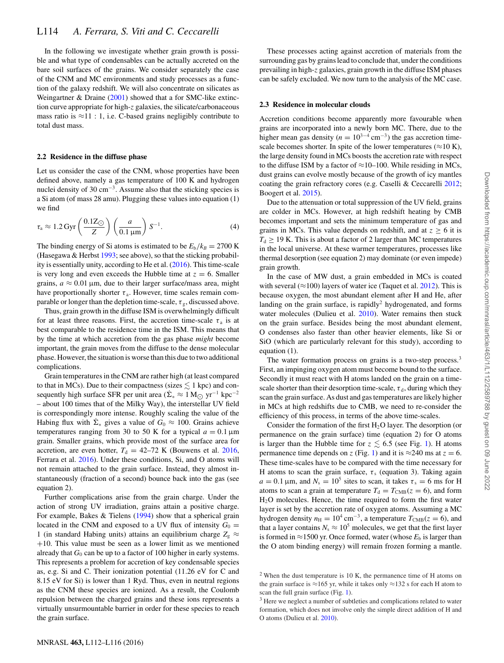In the following we investigate whether grain growth is possible and what type of condensables can be actually accreted on the bare soil surfaces of the grains. We consider separately the case of the CNM and MC environments and study processes as a function of the galaxy redshift. We will also concentrate on silicates as Weingartner & Draine (2001) showed that a for SMC-like extinction curve appropriate for high-z galaxies, the silicate/carbonaceous mass ratio is  $\approx$ 11 : 1, i.e. C-based grains negligibly contribute to total dust mass.

## **2.2 Residence in the diffuse phase**

Let us consider the case of the CNM, whose properties have been defined above, namely a gas temperature of 100 K and hydrogen nuclei density of 30 cm<sup> $-3$ </sup>. Assume also that the sticking species is a Si atom (of mass 28 amu). Plugging these values into equation (1) we find

$$
\tau_{\rm a} \approx 1.2 \,\text{Gyr} \left( \frac{0.1 \,\text{Z}_{\bigodot}}{Z} \right) \left( \frac{a}{0.1 \,\text{\mu m}} \right) S^{-1}.\tag{4}
$$

The binding energy of Si atoms is estimated to be  $E_b/k_B = 2700 \text{ K}$ (Hasegawa  $&$  Herbst 1993; see above), so that the sticking probability is essentially unity, according to He et al. (2016). This time-scale is very long and even exceeds the Hubble time at  $z = 6$ . Smaller grains,  $a \approx 0.01 \,\mu\text{m}$ , due to their larger surface/mass area, might have proportionally shorter  $\tau_a$ . However, time scales remain comparable or longer than the depletion time-scale,  $\tau_{\varphi}$ , discussed above.

Thus, grain growth in the diffuse ISM is overwhelmingly difficult for at least three reasons. First, the accretion time-scale  $\tau_a$  is at best comparable to the residence time in the ISM. This means that by the time at which accretion from the gas phase *might* become important, the grain moves from the diffuse to the dense molecular phase. However, the situation is worse than this due to two additional complications.

Grain temperatures in the CNM are rather high (at least compared to that in MCs). Due to their compactness (sizes  $\lesssim 1$  kpc) and consequently high surface SFR per unit area  $(\Sigma_* \approx 1 \text{ M}_{\odot} \text{ yr}^{-1} \text{ kpc}^{-2})$ – about 100 times that of the Milky Way), the interstellar UV field is correspondingly more intense. Roughly scaling the value of the Habing flux with  $\dot{\Sigma}_*$  gives a value of  $G_0 \approx 100$ . Grains achieve temperatures ranging from 30 to 50 K for a typical  $a = 0.1 \,\text{\mu m}$ grain. Smaller grains, which provide most of the surface area for accretion, are even hotter,  $T_d = 42-72$  K (Bouwens et al. 2016, Ferrara et al. 2016). Under these conditions, Si, and O atoms will not remain attached to the grain surface. Instead, they almost instantaneously (fraction of a second) bounce back into the gas (see equation 2).

Further complications arise from the grain charge. Under the action of strong UV irradiation, grains attain a positive charge. For example, Bakes & Tielens (1994) show that a spherical grain located in the CNM and exposed to a UV flux of intensity  $G_0 =$ 1 (in standard Habing units) attains an equilibrium charge  $Z_g \approx$ +10. This value must be seen as a lower limit as we mentioned already that  $G_0$  can be up to a factor of 100 higher in early systems. This represents a problem for accretion of key condensable species as, e.g. Si and C. Their ionization potential (11.26 eV for C and 8.15 eV for Si) is lower than 1 Ryd. Thus, even in neutral regions as the CNM these species are ionized. As a result, the Coulomb repulsion between the charged grains and these ions represents a virtually unsurmountable barrier in order for these species to reach the grain surface.

These processes acting against accretion of materials from the surrounding gas by grains lead to conclude that, under the conditions prevailing in high-z galaxies, grain growth in the diffuse ISM phases can be safely excluded. We now turn to the analysis of the MC case.

## **2.3 Residence in molecular clouds**

Accretion conditions become apparently more favourable when grains are incorporated into a newly born MC. There, due to the higher mean gas density ( $n = 10^{3-4}$  cm<sup>-3</sup>) the gas accretion timescale becomes shorter. In spite of the lower temperatures ( $\approx$ 10 K), the large density found in MCs boosts the accretion rate with respect to the diffuse ISM by a factor of  $\approx$ 10–100. While residing in MCs, dust grains can evolve mostly because of the growth of icy mantles coating the grain refractory cores (e.g. Caselli & Ceccarelli 2012; Boogert et al. 2015).

Due to the attenuation or total suppression of the UV field, grains are colder in MCs. However, at high redshift heating by CMB becomes important and sets the minimum temperature of gas and grains in MCs. This value depends on redshift, and at  $z \geq 6$  it is  $T_d \geq 19$  K. This is about a factor of 2 larger than MC temperatures in the local universe. At these warmer temperatures, processes like thermal desorption (see equation 2) may dominate (or even impede) grain growth.

In the case of MW dust, a grain embedded in MCs is coated with several ( $\approx$ 100) layers of water ice (Taquet et al. 2012). This is because oxygen, the most abundant element after H and He, after landing on the grain surface, is rapidly<sup>2</sup> hydrogenated, and forms water molecules (Dulieu et al. 2010). Water remains then stuck on the grain surface. Besides being the most abundant element, O condenses also faster than other heavier elements, like Si or SiO (which are particularly relevant for this study), according to equation (1).

The water formation process on grains is a two-step process.<sup>3</sup> First, an impinging oxygen atom must become bound to the surface. Secondly it must react with H atoms landed on the grain on a timescale shorter than their desorption time-scale,  $\tau_d$ , during which they scan the grain surface. As dust and gas temperatures are likely higher in MCs at high redshifts due to CMB, we need to re-consider the efficiency of this process, in terms of the above time-scales.

Consider the formation of the first  $H_2O$  layer. The desorption (or permanence on the grain surface) time (equation 2) for O atoms is larger than the Hubble time for  $z \lesssim 6.5$  (see Fig. 1). H atoms permanence time depends on z (Fig. 1) and it is  $\approx$  240 ms at z = 6. These time-scales have to be compared with the time necessary for H atoms to scan the grain surface,  $\tau_s$  (equation 3). Taking again  $a = 0.1 \,\text{\mu m}$ , and  $N_s = 10^5$  sites to scan, it takes  $\tau_s = 6 \text{ ms}$  for H atoms to scan a grain at temperature  $T_d = T_{CMB}(z = 6)$ , and form H2O molecules. Hence, the time required to form the first water layer is set by the accretion rate of oxygen atoms. Assuming a MC hydrogen density  $n_{\rm H} = 10^4 \text{ cm}^{-3}$ , a temperature  $T_{\rm CMB}(z = 6)$ , and that a layer contains  $N_s \approx 10^5$  molecules, we get that the first layer is formed in  $\approx$ 1500 yr. Once formed, water (whose  $E<sub>b</sub>$  is larger than the O atom binding energy) will remain frozen forming a mantle.

 $2$  When the dust temperature is 10 K, the permanence time of H atoms on the grain surface is  $\approx$ 165 yr, while it takes only  $\approx$ 132 s for each H atom to scan the full grain surface (Fig. 1).

<sup>&</sup>lt;sup>3</sup> Here we neglect a number of subtleties and complications related to water formation, which does not involve only the simple direct addition of H and O atoms (Dulieu et al. 2010).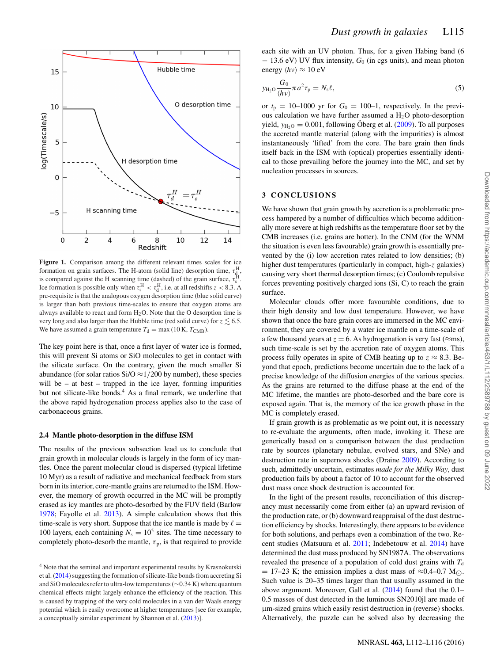

**Figure 1.** Comparison among the different relevant times scales for ice formation on grain surfaces. The H-atom (solid line) desorption time,  $\tau_{\text{d}}^{\text{H}}$ , is compared against the H scanning time (dashed) of the grain surface,  $\tau_s^H$ . Ice formation is possible only when  $\tau_s^H < \tau_d^H$ , i.e. at all redshifts  $z < 8.3$ . A pre-requisite is that the analogous oxygen desorption time (blue solid curve) is larger than both previous time-scales to ensure that oxygen atoms are always available to react and form  $H_2O$ . Note that the O desorption time is very long and also larger than the Hubble time (red solid curve) for  $z \lesssim 6.5$ . We have assumed a grain temperature  $T_d = \max(10 \text{ K}, T_{\text{CMB}})$ .

The key point here is that, once a first layer of water ice is formed, this will prevent Si atoms or SiO molecules to get in contact with the silicate surface. On the contrary, given the much smaller Si abundance (for solar ratios Si/O  $\approx$  1/200 by number), these species will be – at best – trapped in the ice layer, forming impurities but not silicate-like bonds.<sup>4</sup> As a final remark, we underline that the above rapid hydrogenation process applies also to the case of carbonaceous grains.

#### **2.4 Mantle photo-desorption in the diffuse ISM**

The results of the previous subsection lead us to conclude that grain growth in molecular clouds is largely in the form of icy mantles. Once the parent molecular cloud is dispersed (typical lifetime 10 Myr) as a result of radiative and mechanical feedback from stars born in its interior, core-mantle grains are returned to the ISM. However, the memory of growth occurred in the MC will be promptly erased as icy mantles are photo-desorbed by the FUV field (Barlow 1978; Fayolle et al. 2013). A simple calculation shows that this time-scale is very short. Suppose that the ice mantle is made by  $\ell =$ 100 layers, each containing  $N_s = 10^5$  sites. The time necessary to completely photo-desorb the mantle,  $\tau_p$ , is that required to provide each site with an UV photon. Thus, for a given Habing band (6 − 13.6 eV) UV flux intensity, *G*<sup>0</sup> (in cgs units), and mean photon energy  $\langle h\nu \rangle \approx 10 \text{ eV}$ 

$$
y_{\mathrm{H}_2\mathrm{O}} \frac{G_0}{\langle h\nu\rangle} \pi a^2 \tau_{\mathrm{p}} = N_{\mathrm{s}} \ell,\tag{5}
$$

or  $t_p = 10-1000$  yr for  $G_0 = 100-1$ , respectively. In the previous calculation we have further assumed a  $H<sub>2</sub>O$  photo-desorption yield,  $y_{H<sub>2</sub>O} = 0.001$ , following Oberg et al. (2009). To all purposes the accreted mantle material (along with the impurities) is almost instantaneously 'lifted' from the core. The bare grain then finds itself back in the ISM with (optical) properties essentially identical to those prevailing before the journey into the MC, and set by nucleation processes in sources.

## **3 CONCLUSIONS**

We have shown that grain growth by accretion is a problematic process hampered by a number of difficulties which become additionally more severe at high redshifts as the temperature floor set by the CMB increases (i.e. grains are hotter). In the CNM (for the WNM the situation is even less favourable) grain growth is essentially prevented by the (i) low accretion rates related to low densities; (b) higher dust temperatures (particularly in compact, high-z galaxies) causing very short thermal desorption times; (c) Coulomb repulsive forces preventing positively charged ions (Si, C) to reach the grain surface.

Molecular clouds offer more favourable conditions, due to their high density and low dust temperature. However, we have shown that once the bare grain cores are immersed in the MC environment, they are covered by a water ice mantle on a time-scale of a few thousand years at  $z = 6$ . As hydrogenation is very fast ( $\approx$ ms), such time-scale is set by the accretion rate of oxygen atoms. This process fully operates in spite of CMB heating up to  $z \approx 8.3$ . Beyond that epoch, predictions become uncertain due to the lack of a precise knowledge of the diffusion energies of the various species. As the grains are returned to the diffuse phase at the end of the MC lifetime, the mantles are photo-desorbed and the bare core is exposed again. That is, the memory of the ice growth phase in the MC is completely erased.

If grain growth is as problematic as we point out, it is necessary to re-evaluate the arguments, often made, invoking it. These are generically based on a comparison between the dust production rate by sources (planetary nebulae, evolved stars, and SNe) and destruction rate in supernova shocks (Draine 2009). According to such, admittedly uncertain, estimates *made for the Milky Way*, dust production fails by about a factor of 10 to account for the observed dust mass once shock destruction is accounted for.

In the light of the present results, reconciliation of this discrepancy must necessarily come from either (a) an upward revision of the production rate, or (b) downward reappraisal of the dust destruction efficiency by shocks. Interestingly, there appears to be evidence for both solutions, and perhaps even a combination of the two. Recent studies (Matsuura et al. 2011; Indebetouw et al. 2014) have determined the dust mass produced by SN1987A. The observations revealed the presence of a population of cold dust grains with  $T<sub>d</sub>$  $= 17-23$  K; the emission implies a dust mass of  $\approx 0.4-0.7$  M... Such value is 20–35 times larger than that usually assumed in the above argument. Moreover, Gall et al. (2014) found that the 0.1– 0.5 masses of dust detected in the luminous SN2010jl are made of µm-sized grains which easily resist destruction in (reverse) shocks. Alternatively, the puzzle can be solved also by decreasing the

<sup>4</sup> Note that the seminal and important experimental results by Krasnokutski et al. (2014) suggesting the formation of silicate-like bonds from accreting Si and SiO molecules refer to ultra-low temperatures (∼0.34 K) where quantum chemical effects might largely enhance the efficiency of the reaction. This is caused by trapping of the very cold molecules in a van der Waals energy potential which is easily overcome at higher temperatures [see for example, a conceptually similar experiment by Shannon et al. (2013)].